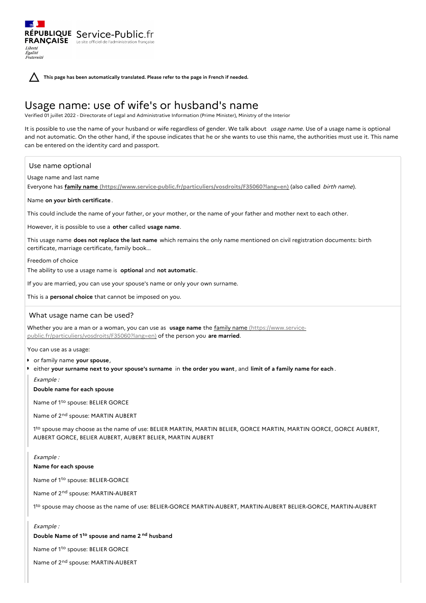RÉPUBLIQUE Service-Public.fr **FRANÇAISE** Le site officiel de l'administration fran Liberté Égalité<br>Fraternité

**This page has been automatically translated. Please refer to the page in French if needed.**

# Usage name: use of wife's or husband's name

Verified 01 juillet 2022 - Directorate of Legal and Administrative Information (Prime Minister), Ministry of the Interior

It is possible to use the name of your husband or wife regardless of gender. We talk about usage name. Use of a usage name is optional and not automatic. On the other hand, if the spouse indicates that he or she wants to use this name, the authorities must use it. This name can be entered on the identity card and passport.

## Use name optional

Usage name and last name

Everyone has **family name [\(https://www.service-public.fr/particuliers/vosdroits/F35060?lang=en\)](https://www.service-public.fr/particuliers/vosdroits/F35060?lang=en)** (also called birth name).

### Name **on your birth certificate** .

This could include the name of your father, or your mother, or the name of your father and mother next to each other.

However, it is possible to use a **other** called **usage name**.

This usage name **does not replace the last name** which remains the only name mentioned on civil registration documents: birth certificate, marriage certificate, family book...

Freedom of choice

The ability to use a usage name is **optional** and **not automatic**.

If you are married, you can use your spouse's name or only your own surname.

This is a **personal choice** that cannot be imposed on you.

## What usage name can be used?

Whether you are a man or a woman, you can use as **usage name** the family name (https://www.service[public.fr/particuliers/vosdroits/F35060?lang=en\)](https://www.service-public.fr/particuliers/vosdroits/F35060?lang=en) of the person you **are married**.

You can use as a usage:

- or family name **your spouse**,
- either your surname next to your spouse's surname in the order you want, and limit of a family name for each.

Example :

#### **Double name for each spouse**

Name of 1<sup>to</sup> spouse: BELIER GORCE

Name of 2<sup>nd</sup> spouse: MARTIN AUBERT

1<sup>to</sup> spouse may choose as the name of use: BELIER MARTIN, MARTIN BELIER, GORCE MARTIN, MARTIN GORCE, GORCE AUBERT, AUBERT GORCE, BELIER AUBERT, AUBERT BELIER, MARTIN AUBERT

#### Example :

## **Name for each spouse**

Name of 1<sup>to</sup> spouse: BELIER-GORCE

Name of 2<sup>nd</sup> spouse: MARTIN-AUBERT

1<sup>to</sup> spouse may choose as the name of use: BELIER-GORCE MARTIN-AUBERT, MARTIN-AUBERT BELIER-GORCE, MARTIN-AUBERT

# Example :

# **Double Name of 1 spouse and name 2 husband to nd**

Name of 1<sup>to</sup> spouse: BELIER GORCE

Name of 2<sup>nd</sup> spouse: MARTIN-AUBERT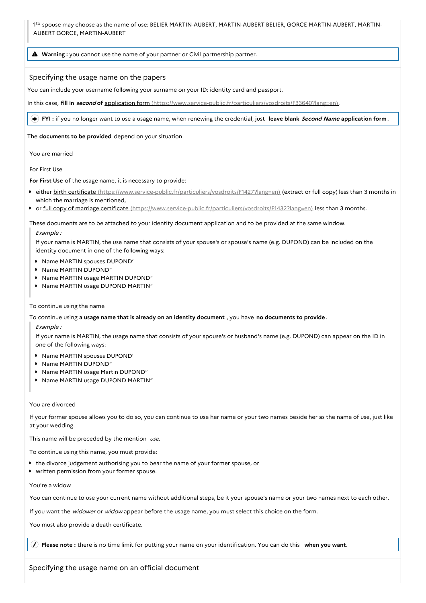1<sup>to</sup> spouse may choose as the name of use: BELIER MARTIN-AUBERT, MARTIN-AUBERT BELIER, GORCE MARTIN-AUBERT, MARTIN-AUBERT GORCE, MARTIN-AUBERT

**Warning :** you cannot use the name of your partner or Civil partnership partner.

## Specifying the usage name on the papers

You can include your username following your surname on your ID: identity card and passport.

In this case, **fill in second of** application form [\(https://www.service-public.fr/particuliers/vosdroits/F33640?lang=en\)](https://www.service-public.fr/particuliers/vosdroits/F33640?lang=en).

**FYI :** if you no longer want to use a usage name, when renewing the credential, just **leave blank Second Name application form**.

The **documents to be provided** depend on your situation.

You are married

For First Use

**For First Use** of the usage name, it is necessary to provide:

- **either birth certificate** [\(https://www.service-public.fr/particuliers/vosdroits/F1427?lang=en\)](https://www.service-public.fr/particuliers/vosdroits/F1427?lang=en) (extract or full copy) less than 3 months in which the marriage is mentioned,
- or full copy of marriage certificate [\(https://www.service-public.fr/particuliers/vosdroits/F1432?lang=en\)](https://www.service-public.fr/particuliers/vosdroits/F1432?lang=en) less than 3 months.

These documents are to be attached to your identity document application and to be provided at the same window. Example :

If your name is MARTIN, the use name that consists of your spouse's or spouse's name (e.g. DUPOND) can be included on the identity document in one of the following ways:

- **Name MARTIN spouses DUPOND'**
- **Name MARTIN DUPOND"**
- **Name MARTIN usage MARTIN DUPOND"**
- **Name MARTIN usage DUPOND MARTIN"**

## To continue using the name

To continue using **a usage name that is already on an identity document** , you have **no documents to provide** .

Example :

If your name is MARTIN, the usage name that consists of your spouse's or husband's name (e.g. DUPOND) can appear on the ID in one of the following ways:

- **Name MARTIN spouses DUPOND'**
- **Name MARTIN DUPOND"**
- Name MARTIN usage Martin DUPOND"
- Name MARTIN usage DUPOND MARTIN"

## You are divorced

If your former spouse allows you to do so, you can continue to use her name or your two names beside her as the name of use, just like at your wedding.

This name will be preceded by the mention  $use$ .

To continue using this name, you must provide:

- **the divorce judgement authorising you to bear the name of your former spouse, or**
- written permission from your former spouse.

### You're a widow

You can continue to use your current name without additional steps, be it your spouse's name or your two names next to each other.

If you want the widower or widow appear before the usage name, you must select this choice on the form.

You must also provide a death certificate.

**Please note :** there is no time limit for putting your name on your identification. You can do this **when you want**.

Specifying the usage name on an official document